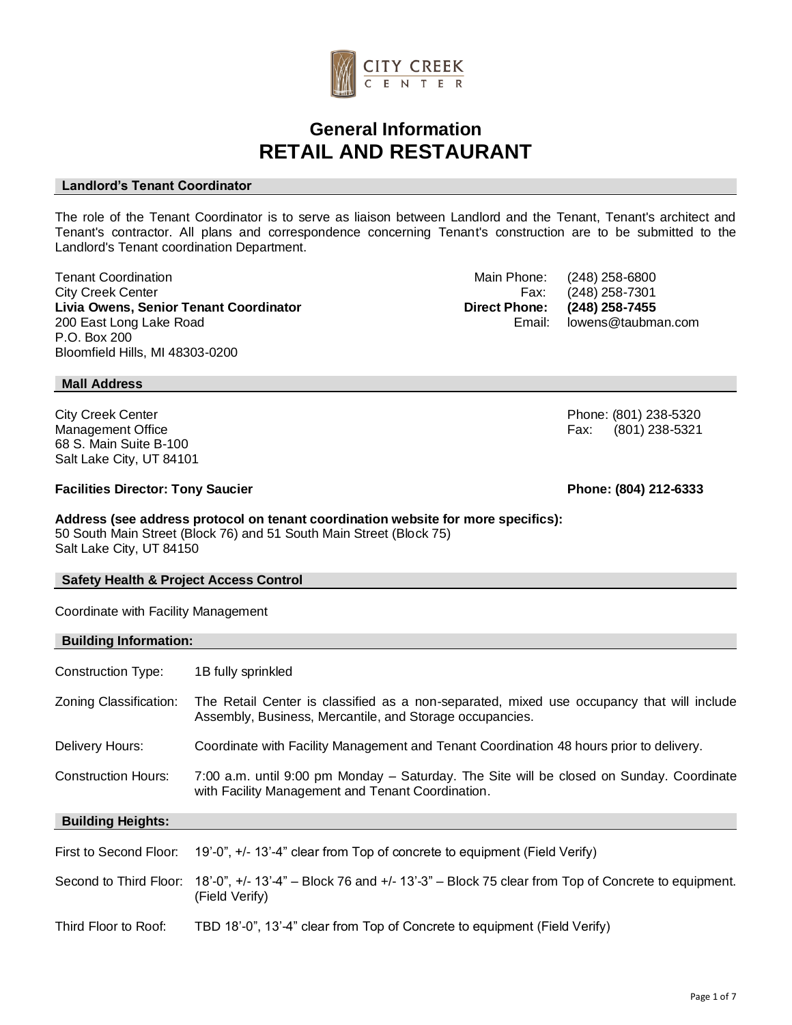

## **General Information RETAIL AND RESTAURANT**

## **Landlord's Tenant Coordinator**

The role of the Tenant Coordinator is to serve as liaison between Landlord and the Tenant, Tenant's architect and Tenant's contractor. All plans and correspondence concerning Tenant's construction are to be submitted to the Landlord's Tenant coordination Department.

Tenant Coordination **Tenant Coordination**<br>City Creek Center **Main Phone:** (248) 258-6800<br>Fax: (248) 258-7301 City Creek Center<br>
Livia Owens, Senior Tenant Coordinator<br>
Livia Owens, Senior Tenant Coordinator<br>
Coordinator **Livia Owens, Senior Tenant Coordinator Direct Phone: (248) 258-7455** 200 East Long Lake Road Email: lowens@taubman.com P.O. Box 200 Bloomfield Hills, MI 48303-0200

**Mall Address**

City Creek Center Phone: (801) 238-5320 Management Office **Fax: According to According the Contract of Tax: According to Fax: (801) 238-5321** 68 S. Main Suite B-100 Salt Lake City, UT 84101

#### **Facilities Director: Tony Saucier Phone: (804) 212-6333**

#### **Address (see address protocol on tenant coordination website for more specifics):**  50 South Main Street (Block 76) and 51 South Main Street (Block 75) Salt Lake City, UT 84150

#### **Safety Health & Project Access Control**

Coordinate with Facility Management

#### **Building Information:**

| Construction Type:       | 1B fully sprinkled                                                                                                                                    |
|--------------------------|-------------------------------------------------------------------------------------------------------------------------------------------------------|
| Zoning Classification:   | The Retail Center is classified as a non-separated, mixed use occupancy that will include<br>Assembly, Business, Mercantile, and Storage occupancies. |
| Delivery Hours:          | Coordinate with Facility Management and Tenant Coordination 48 hours prior to delivery.                                                               |
| Construction Hours:      | 7:00 a.m. until 9:00 pm Monday – Saturday. The Site will be closed on Sunday. Coordinate<br>with Facility Management and Tenant Coordination.         |
|                          |                                                                                                                                                       |
| <b>Building Heights:</b> |                                                                                                                                                       |
| First to Second Floor:   | 19'-0", +/- 13'-4" clear from Top of concrete to equipment (Field Verify)                                                                             |
|                          | Second to Third Floor: 18'-0", +/-13'-4" - Block 76 and +/-13'-3" - Block 75 clear from Top of Concrete to equipment.<br>(Field Verify)               |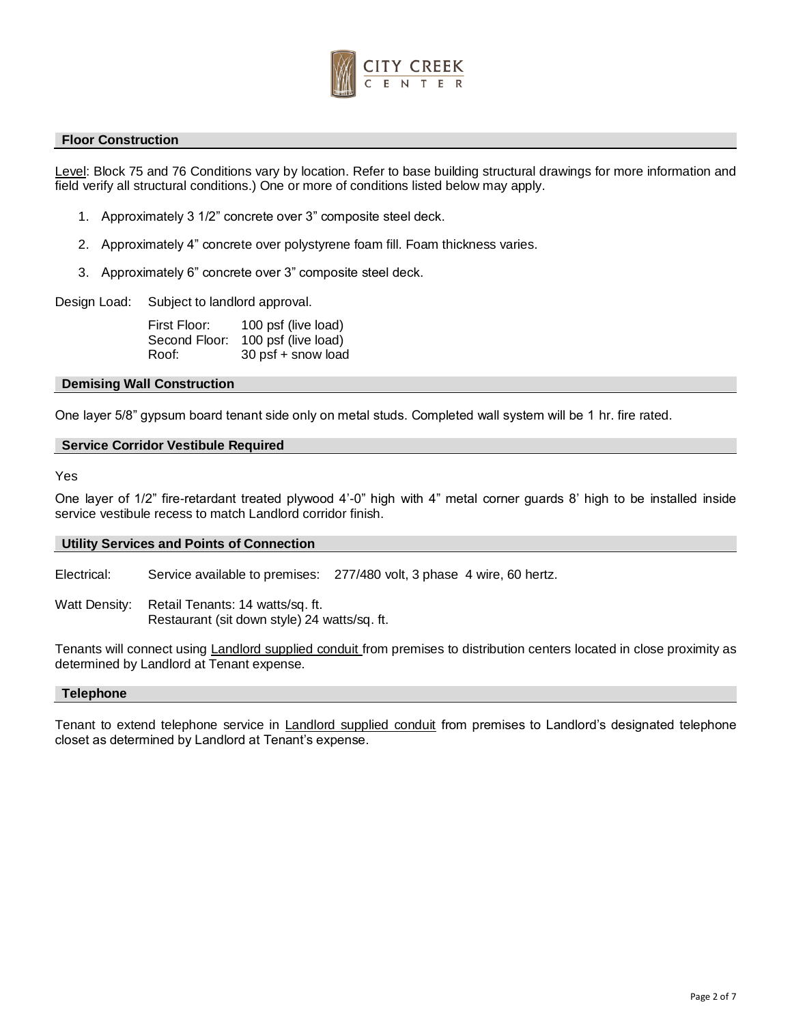

#### **Floor Construction**

Level: Block 75 and 76 Conditions vary by location. Refer to base building structural drawings for more information and field verify all structural conditions.) One or more of conditions listed below may apply.

- 1. Approximately 3 1/2" concrete over 3" composite steel deck.
- 2. Approximately 4" concrete over polystyrene foam fill. Foam thickness varies.
- 3. Approximately 6" concrete over 3" composite steel deck.

Design Load: Subject to landlord approval.

First Floor: 100 psf (live load) Second Floor: 100 psf (live load) Roof: 30 psf + snow load

#### **Demising Wall Construction**

One layer 5/8" gypsum board tenant side only on metal studs. Completed wall system will be 1 hr. fire rated.

## **Service Corridor Vestibule Required**

## Yes

One layer of 1/2" fire-retardant treated plywood 4'-0" high with 4" metal corner guards 8' high to be installed inside service vestibule recess to match Landlord corridor finish.

#### **Utility Services and Points of Connection**

Electrical: Service available to premises: 277/480 volt, 3 phase 4 wire, 60 hertz.

Watt Density: Retail Tenants: 14 watts/sq. ft. Restaurant (sit down style) 24 watts/sq. ft.

Tenants will connect using Landlord supplied conduit from premises to distribution centers located in close proximity as determined by Landlord at Tenant expense.

#### **Telephone**

Tenant to extend telephone service in Landlord supplied conduit from premises to Landlord's designated telephone closet as determined by Landlord at Tenant's expense.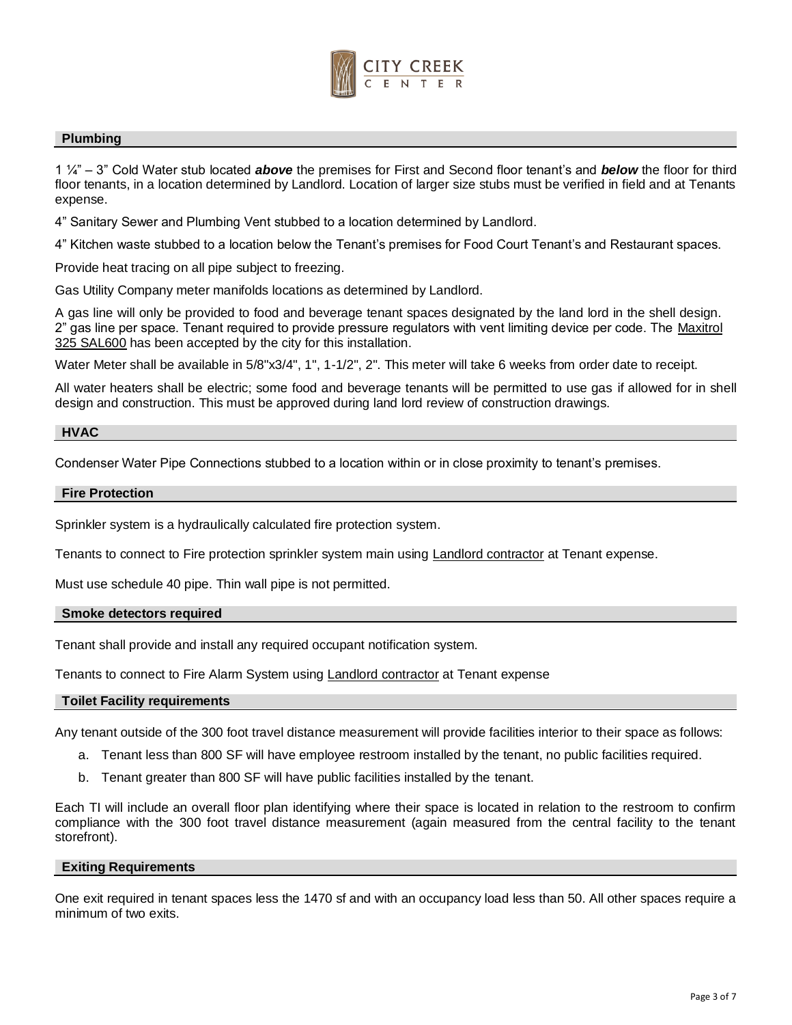

## **Plumbing**

1 ¼" – 3" Cold Water stub located *above* the premises for First and Second floor tenant's and *below* the floor for third floor tenants, in a location determined by Landlord. Location of larger size stubs must be verified in field and at Tenants expense.

4" Sanitary Sewer and Plumbing Vent stubbed to a location determined by Landlord.

4" Kitchen waste stubbed to a location below the Tenant's premises for Food Court Tenant's and Restaurant spaces.

Provide heat tracing on all pipe subject to freezing.

Gas Utility Company meter manifolds locations as determined by Landlord.

A gas line will only be provided to food and beverage tenant spaces designated by the land lord in the shell design. 2" gas line per space. Tenant required to provide pressure regulators with vent limiting device per code. The Maxitrol 325 SAL600 has been accepted by the city for this installation.

Water Meter shall be available in 5/8"x3/4", 1", 1-1/2", 2". This meter will take 6 weeks from order date to receipt.

All water heaters shall be electric; some food and beverage tenants will be permitted to use gas if allowed for in shell design and construction. This must be approved during land lord review of construction drawings.

#### **HVAC**

Condenser Water Pipe Connections stubbed to a location within or in close proximity to tenant's premises.

#### **Fire Protection**

Sprinkler system is a hydraulically calculated fire protection system.

Tenants to connect to Fire protection sprinkler system main using **Landlord contractor** at Tenant expense.

Must use schedule 40 pipe. Thin wall pipe is not permitted.

#### **Smoke detectors required**

Tenant shall provide and install any required occupant notification system.

Tenants to connect to Fire Alarm System using **Landlord contractor** at Tenant expense

#### **Toilet Facility requirements**

Any tenant outside of the 300 foot travel distance measurement will provide facilities interior to their space as follows:

- a. Tenant less than 800 SF will have employee restroom installed by the tenant, no public facilities required.
- b. Tenant greater than 800 SF will have public facilities installed by the tenant.

Each TI will include an overall floor plan identifying where their space is located in relation to the restroom to confirm compliance with the 300 foot travel distance measurement (again measured from the central facility to the tenant storefront).

#### **Exiting Requirements**

One exit required in tenant spaces less the 1470 sf and with an occupancy load less than 50. All other spaces require a minimum of two exits.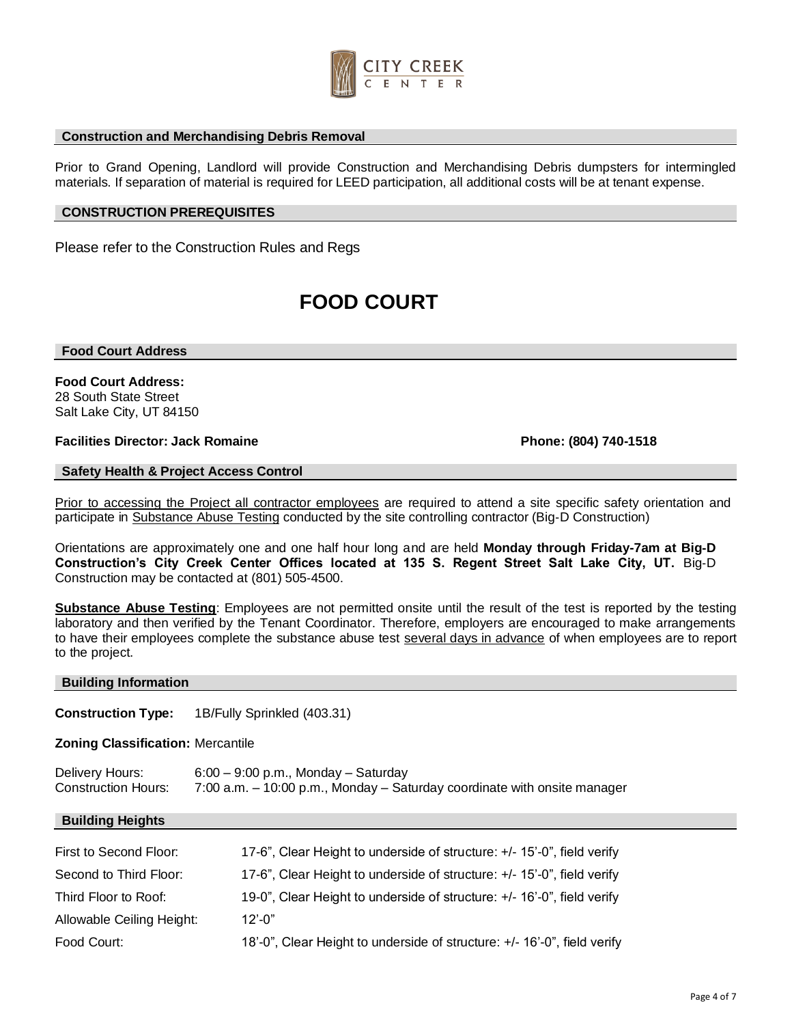

#### **Construction and Merchandising Debris Removal**

Prior to Grand Opening, Landlord will provide Construction and Merchandising Debris dumpsters for intermingled materials. If separation of material is required for LEED participation, all additional costs will be at tenant expense.

## **CONSTRUCTION PREREQUISITES**

Please refer to the Construction Rules and Regs

# **FOOD COURT**

#### **Food Court Address**

**Food Court Address:**  28 South State Street Salt Lake City, UT 84150

## **Facilities Director: Jack Romaine Phone: (804) 740-1518**

## **Safety Health & Project Access Control**

Prior to accessing the Project all contractor employees are required to attend a site specific safety orientation and participate in Substance Abuse Testing conducted by the site controlling contractor (Big-D Construction)

Orientations are approximately one and one half hour long and are held **Monday through Friday-7am at Big**‐**D Construction's City Creek Center Offices located at 135 S. Regent Street Salt Lake City, UT.** Big‐D Construction may be contacted at (801) 505‐4500.

**Substance Abuse Testing**: Employees are not permitted onsite until the result of the test is reported by the testing laboratory and then verified by the Tenant Coordinator. Therefore, employers are encouraged to make arrangements to have their employees complete the substance abuse test several days in advance of when employees are to report to the project.

#### **Building Information**

**Construction Type:** 1B/Fully Sprinkled (403.31)

**Zoning Classification:** Mercantile

| Delivery Hours:            | $6:00 - 9:00$ p.m., Monday - Saturday                                    |
|----------------------------|--------------------------------------------------------------------------|
| <b>Construction Hours:</b> | 7:00 a.m. – 10:00 p.m., Monday – Saturday coordinate with onsite manager |

#### **Building Heights**

| First to Second Floor:    | 17-6", Clear Height to underside of structure: +/- 15'-0", field verify  |
|---------------------------|--------------------------------------------------------------------------|
| Second to Third Floor:    | 17-6", Clear Height to underside of structure: +/- 15'-0", field verify  |
| Third Floor to Roof:      | 19-0", Clear Height to underside of structure: +/- 16'-0", field verify  |
| Allowable Ceiling Height: | $12' - 0''$                                                              |
| Food Court:               | 18'-0", Clear Height to underside of structure: +/- 16'-0", field verify |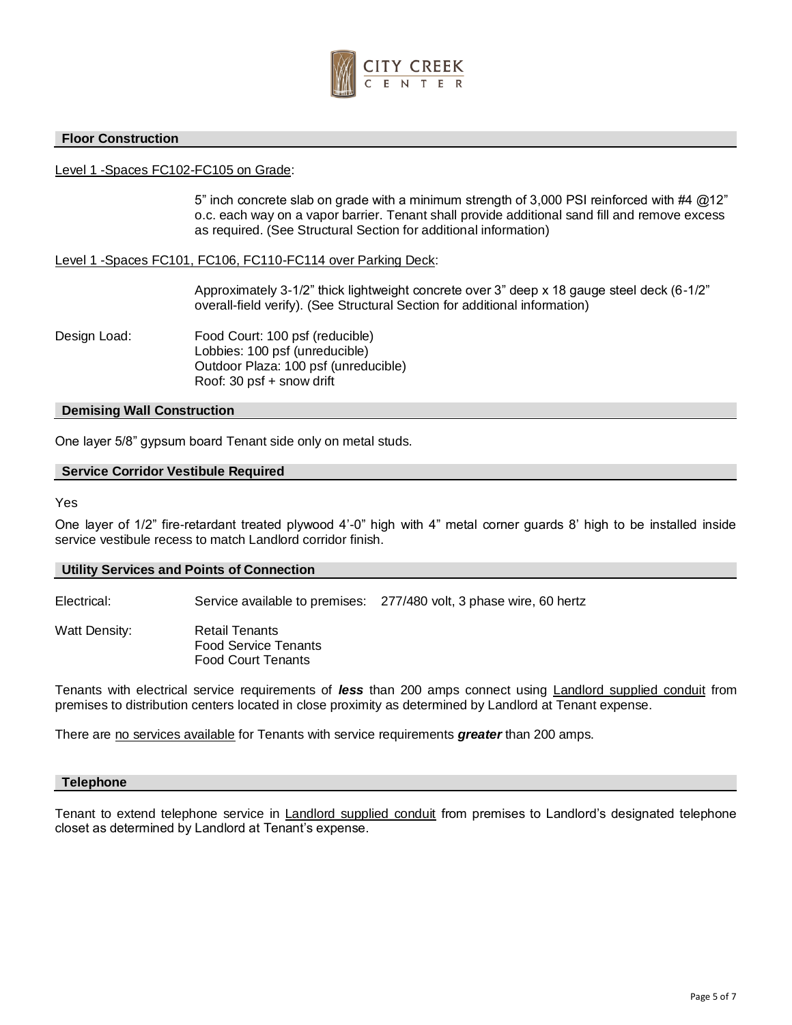

## **Floor Construction**

## Level 1 -Spaces FC102-FC105 on Grade:

5" inch concrete slab on grade with a minimum strength of 3,000 PSI reinforced with #4 @12" o.c. each way on a vapor barrier. Tenant shall provide additional sand fill and remove excess as required. (See Structural Section for additional information)

## Level 1 -Spaces FC101, FC106, FC110-FC114 over Parking Deck:

Approximately 3-1/2" thick lightweight concrete over 3" deep x 18 gauge steel deck (6-1/2" overall-field verify). (See Structural Section for additional information)

Design Load: Food Court: 100 psf (reducible) Lobbies: 100 psf (unreducible) Outdoor Plaza: 100 psf (unreducible) Roof: 30 psf + snow drift

#### **Demising Wall Construction**

One layer 5/8" gypsum board Tenant side only on metal studs.

## **Service Corridor Vestibule Required**

Yes

One layer of 1/2" fire-retardant treated plywood 4'-0" high with 4" metal corner guards 8' high to be installed inside service vestibule recess to match Landlord corridor finish.

#### **Utility Services and Points of Connection**

Electrical: Service available to premises: 277/480 volt, 3 phase wire, 60 hertz

Watt Density: Retail Tenants Food Service Tenants Food Court Tenants

Tenants with electrical service requirements of *less* than 200 amps connect using Landlord supplied conduit from premises to distribution centers located in close proximity as determined by Landlord at Tenant expense.

There are no services available for Tenants with service requirements *greater* than 200 amps.

#### **Telephone**

Tenant to extend telephone service in Landlord supplied conduit from premises to Landlord's designated telephone closet as determined by Landlord at Tenant's expense.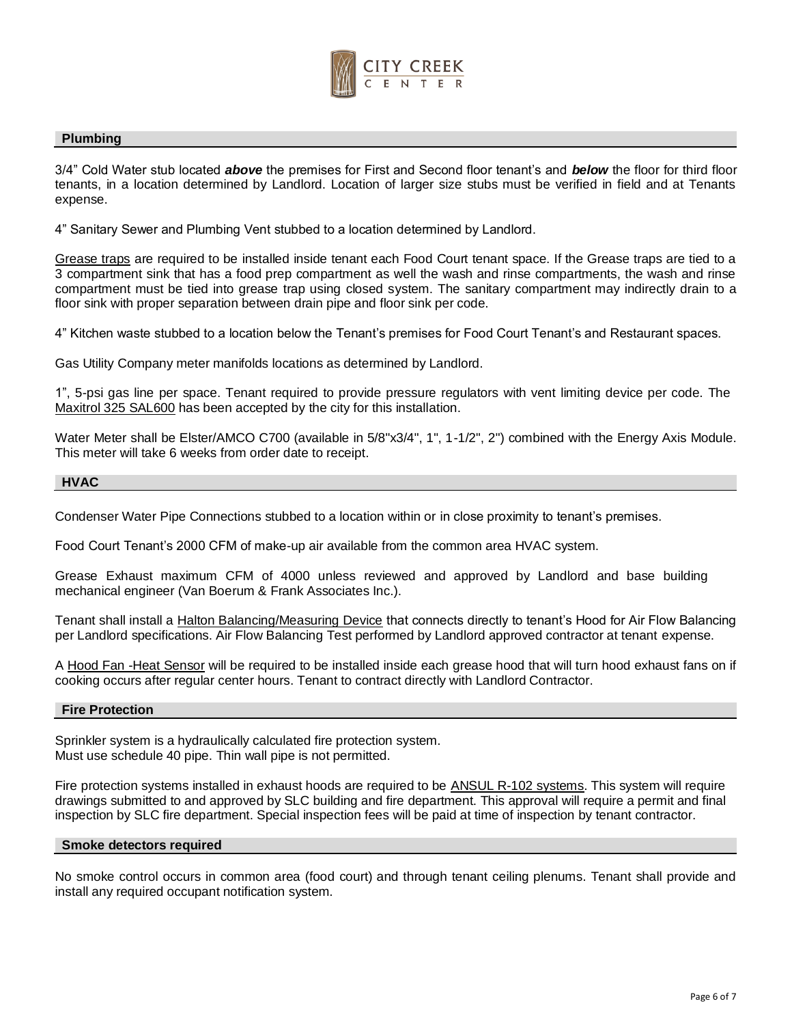

#### **Plumbing**

3/4" Cold Water stub located *above* the premises for First and Second floor tenant's and *below* the floor for third floor tenants, in a location determined by Landlord. Location of larger size stubs must be verified in field and at Tenants expense.

4" Sanitary Sewer and Plumbing Vent stubbed to a location determined by Landlord.

Grease traps are required to be installed inside tenant each Food Court tenant space. If the Grease traps are tied to a 3 compartment sink that has a food prep compartment as well the wash and rinse compartments, the wash and rinse compartment must be tied into grease trap using closed system. The sanitary compartment may indirectly drain to a floor sink with proper separation between drain pipe and floor sink per code.

4" Kitchen waste stubbed to a location below the Tenant's premises for Food Court Tenant's and Restaurant spaces.

Gas Utility Company meter manifolds locations as determined by Landlord.

1", 5-psi gas line per space. Tenant required to provide pressure regulators with vent limiting device per code. The Maxitrol 325 SAL600 has been accepted by the city for this installation.

Water Meter shall be Elster/AMCO C700 (available in 5/8"x3/4", 1", 1-1/2", 2") combined with the Energy Axis Module. This meter will take 6 weeks from order date to receipt.

## **HVAC**

Condenser Water Pipe Connections stubbed to a location within or in close proximity to tenant's premises.

Food Court Tenant's 2000 CFM of make-up air available from the common area HVAC system.

Grease Exhaust maximum CFM of 4000 unless reviewed and approved by Landlord and base building mechanical engineer (Van Boerum & Frank Associates Inc.).

Tenant shall install a Halton Balancing/Measuring Device that connects directly to tenant's Hood for Air Flow Balancing per Landlord specifications. Air Flow Balancing Test performed by Landlord approved contractor at tenant expense.

A Hood Fan -Heat Sensor will be required to be installed inside each grease hood that will turn hood exhaust fans on if cooking occurs after regular center hours. Tenant to contract directly with Landlord Contractor.

#### **Fire Protection**

Sprinkler system is a hydraulically calculated fire protection system. Must use schedule 40 pipe. Thin wall pipe is not permitted.

Fire protection systems installed in exhaust hoods are required to be ANSUL R-102 systems. This system will require drawings submitted to and approved by SLC building and fire department. This approval will require a permit and final inspection by SLC fire department. Special inspection fees will be paid at time of inspection by tenant contractor.

#### **Smoke detectors required**

No smoke control occurs in common area (food court) and through tenant ceiling plenums. Tenant shall provide and install any required occupant notification system.